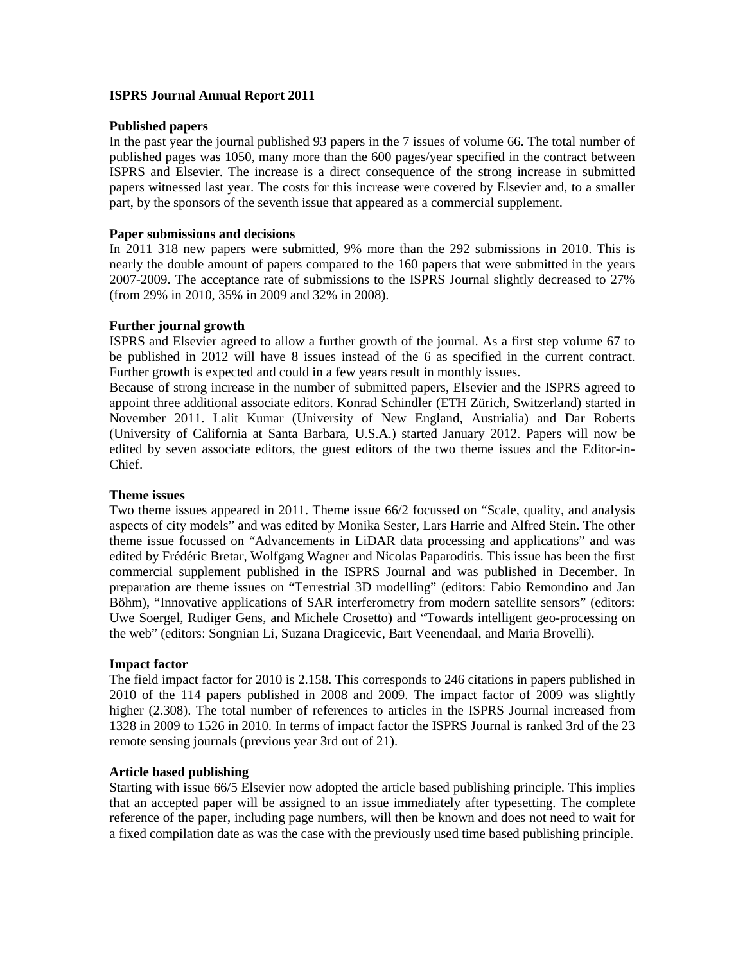## **ISPRS Journal Annual Report 2011**

### **Published papers**

In the past year the journal published 93 papers in the 7 issues of volume 66. The total number of published pages was 1050, many more than the 600 pages/year specified in the contract between ISPRS and Elsevier. The increase is a direct consequence of the strong increase in submitted papers witnessed last year. The costs for this increase were covered by Elsevier and, to a smaller part, by the sponsors of the seventh issue that appeared as a commercial supplement.

## **Paper submissions and decisions**

In 2011 318 new papers were submitted, 9% more than the 292 submissions in 2010. This is nearly the double amount of papers compared to the 160 papers that were submitted in the years 2007-2009. The acceptance rate of submissions to the ISPRS Journal slightly decreased to 27% (from 29% in 2010, 35% in 2009 and 32% in 2008).

## **Further journal growth**

ISPRS and Elsevier agreed to allow a further growth of the journal. As a first step volume 67 to be published in 2012 will have 8 issues instead of the 6 as specified in the current contract. Further growth is expected and could in a few years result in monthly issues.

Because of strong increase in the number of submitted papers, Elsevier and the ISPRS agreed to appoint three additional associate editors. Konrad Schindler (ETH Zürich, Switzerland) started in November 2011. Lalit Kumar (University of New England, Austrialia) and Dar Roberts (University of California at Santa Barbara, U.S.A.) started January 2012. Papers will now be edited by seven associate editors, the guest editors of the two theme issues and the Editor-in-Chief.

# **Theme issues**

Two theme issues appeared in 2011. Theme issue 66/2 focussed on "Scale, quality, and analysis aspects of city models" and was edited by Monika Sester, Lars Harrie and Alfred Stein. The other theme issue focussed on "Advancements in LiDAR data processing and applications" and was edited by Frédéric Bretar, Wolfgang Wagner and Nicolas Paparoditis. This issue has been the first commercial supplement published in the ISPRS Journal and was published in December. In preparation are theme issues on "Terrestrial 3D modelling" (editors: Fabio Remondino and Jan Böhm), "Innovative applications of SAR interferometry from modern satellite sensors" (editors: Uwe Soergel, Rudiger Gens, and Michele Crosetto) and "Towards intelligent geo-processing on the web" (editors: Songnian Li, Suzana Dragicevic, Bart Veenendaal, and Maria Brovelli).

# **Impact factor**

The field impact factor for 2010 is 2.158. This corresponds to 246 citations in papers published in 2010 of the 114 papers published in 2008 and 2009. The impact factor of 2009 was slightly higher (2.308). The total number of references to articles in the ISPRS Journal increased from 1328 in 2009 to 1526 in 2010. In terms of impact factor the ISPRS Journal is ranked 3rd of the 23 remote sensing journals (previous year 3rd out of 21).

#### **Article based publishing**

Starting with issue 66/5 Elsevier now adopted the article based publishing principle. This implies that an accepted paper will be assigned to an issue immediately after typesetting. The complete reference of the paper, including page numbers, will then be known and does not need to wait for a fixed compilation date as was the case with the previously used time based publishing principle.